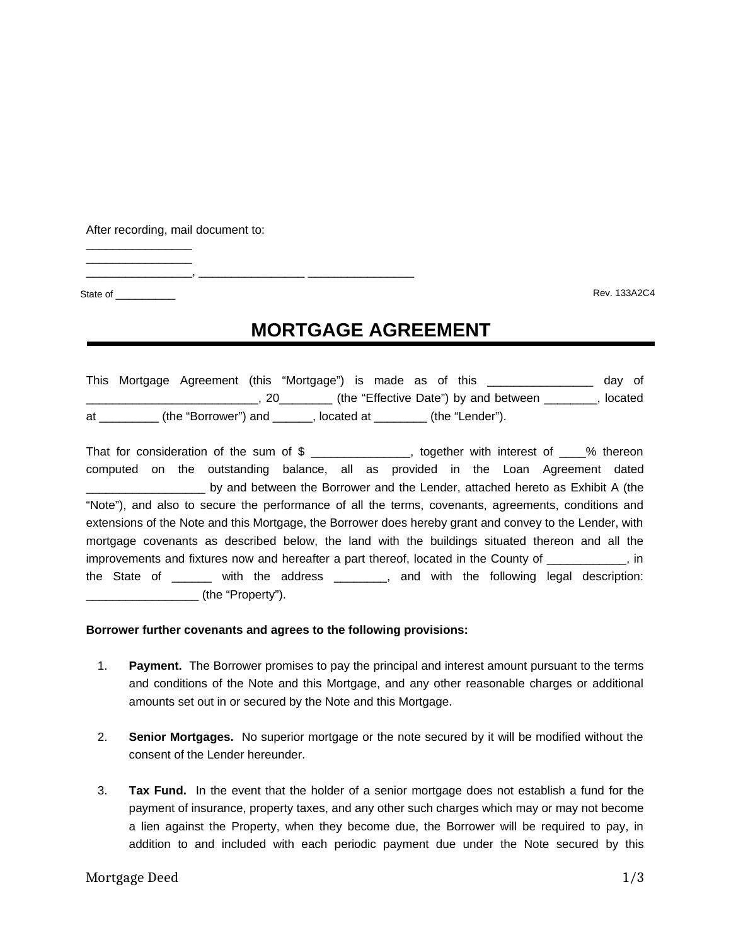After recording, mail document to:

State of **Example 2018** Rev. 133A2C4

 $\mathcal{L}_\text{max}$  . The set of the set of the set of the set of the set of the set of the set of the set of the set of the set of the set of the set of the set of the set of the set of the set of the set of the set of the set

## **MORTGAGE AGREEMENT**

 $\overline{\phantom{a}}$  ,  $\overline{\phantom{a}}$  ,  $\overline{\phantom{a}}$  ,  $\overline{\phantom{a}}$  ,  $\overline{\phantom{a}}$  ,  $\overline{\phantom{a}}$  ,  $\overline{\phantom{a}}$  ,  $\overline{\phantom{a}}$  ,  $\overline{\phantom{a}}$  ,  $\overline{\phantom{a}}$  ,  $\overline{\phantom{a}}$  ,  $\overline{\phantom{a}}$  ,  $\overline{\phantom{a}}$  ,  $\overline{\phantom{a}}$  ,  $\overline{\phantom{a}}$  ,  $\overline{\phantom{a}}$ 

This Mortgage Agreement (this "Mortgage") is made as of this \_\_\_\_\_\_\_\_\_\_\_\_\_\_\_\_ day of \_\_\_\_\_\_\_\_\_\_\_\_\_\_\_\_, 20\_\_\_\_\_\_\_\_\_\_\_\_\_(the "Effective Date") by and between \_\_\_\_\_\_\_\_\_\_, located at \_\_\_\_\_\_\_\_\_ (the "Borrower") and \_\_\_\_\_\_, located at \_\_\_\_\_\_\_\_ (the "Lender").

That for consideration of the sum of \$ ... together with interest of  $\frac{1}{2}$  % thereon computed on the outstanding balance, all as provided in the Loan Agreement dated by and between the Borrower and the Lender, attached hereto as Exhibit A (the "Note"), and also to secure the performance of all the terms, covenants, agreements, conditions and extensions of the Note and this Mortgage, the Borrower does hereby grant and convey to the Lender, with mortgage covenants as described below, the land with the buildings situated thereon and all the improvements and fixtures now and hereafter a part thereof, located in the County of  $\blacksquare$ , in the State of \_\_\_\_\_\_ with the address \_\_\_\_\_\_\_\_, and with the following legal description: \_\_\_\_\_\_\_\_\_\_\_\_\_\_\_\_\_ (the "Property").

## **Borrower further covenants and agrees to the following provisions:**

- 1. **Payment.** The Borrower promises to pay the principal and interest amount pursuant to the terms and conditions of the Note and this Mortgage, and any other reasonable charges or additional amounts set out in or secured by the Note and this Mortgage.
- 2. **Senior Mortgages.** No superior mortgage or the note secured by it will be modified without the consent of the Lender hereunder.
- 3. **Tax Fund.** In the event that the holder of a senior mortgage does not establish a fund for the payment of insurance, property taxes, and any other such charges which may or may not become a lien against the Property, when they become due, the Borrower will be required to pay, in addition to and included with each periodic payment due under the Note secured by this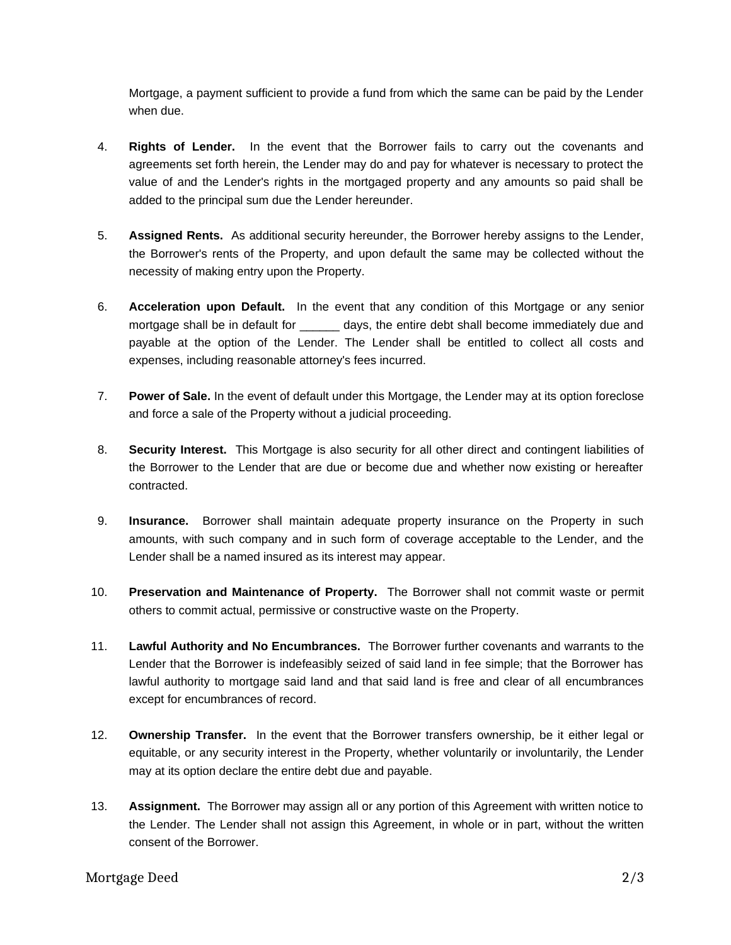Mortgage, a payment sufficient to provide a fund from which the same can be paid by the Lender when due.

- 4. **Rights of Lender.** In the event that the Borrower fails to carry out the covenants and agreements set forth herein, the Lender may do and pay for whatever is necessary to protect the value of and the Lender's rights in the mortgaged property and any amounts so paid shall be added to the principal sum due the Lender hereunder.
- 5. **Assigned Rents.** As additional security hereunder, the Borrower hereby assigns to the Lender, the Borrower's rents of the Property, and upon default the same may be collected without the necessity of making entry upon the Property.
- 6. **Acceleration upon Default.** In the event that any condition of this Mortgage or any senior mortgage shall be in default for \_\_\_\_\_\_\_ days, the entire debt shall become immediately due and payable at the option of the Lender. The Lender shall be entitled to collect all costs and expenses, including reasonable attorney's fees incurred.
- 7. **Power of Sale.** In the event of default under this Mortgage, the Lender may at its option foreclose and force a sale of the Property without a judicial proceeding.
- 8. **Security Interest.** This Mortgage is also security for all other direct and contingent liabilities of the Borrower to the Lender that are due or become due and whether now existing or hereafter contracted.
- 9. **Insurance.** Borrower shall maintain adequate property insurance on the Property in such amounts, with such company and in such form of coverage acceptable to the Lender, and the Lender shall be a named insured as its interest may appear.
- 10. **Preservation and Maintenance of Property.** The Borrower shall not commit waste or permit others to commit actual, permissive or constructive waste on the Property.
- 11. **Lawful Authority and No Encumbrances.** The Borrower further covenants and warrants to the Lender that the Borrower is indefeasibly seized of said land in fee simple; that the Borrower has lawful authority to mortgage said land and that said land is free and clear of all encumbrances except for encumbrances of record.
- 12. **Ownership Transfer.** In the event that the Borrower transfers ownership, be it either legal or equitable, or any security interest in the Property, whether voluntarily or involuntarily, the Lender may at its option declare the entire debt due and payable.
- 13. **Assignment.** The Borrower may assign all or any portion of this Agreement with written notice to the Lender. The Lender shall not assign this Agreement, in whole or in part, without the written consent of the Borrower.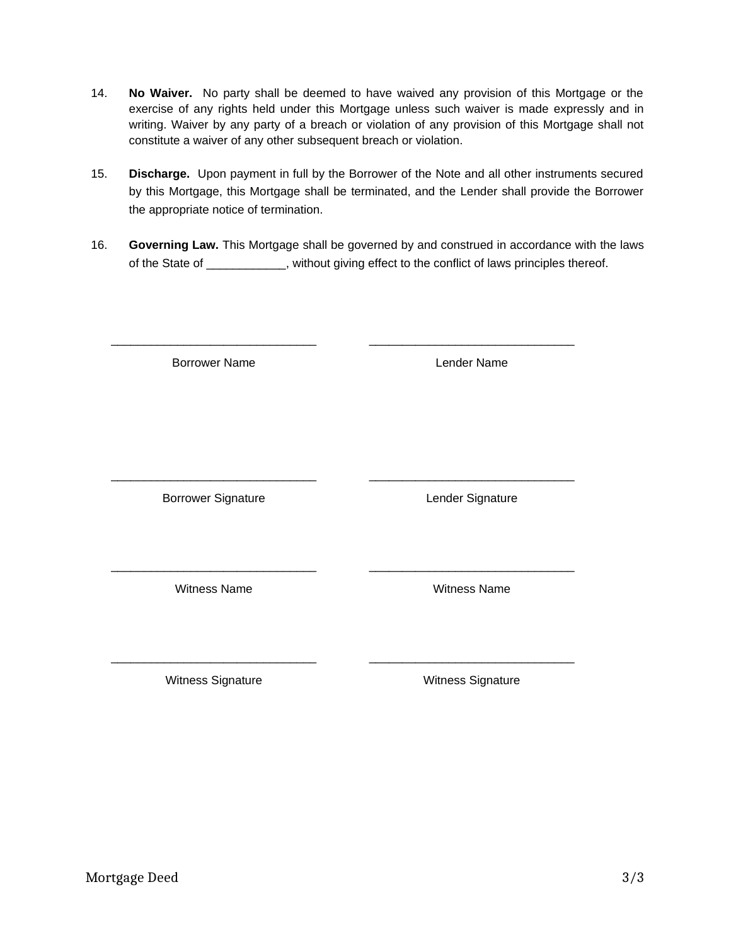- 14. **No Waiver.** No party shall be deemed to have waived any provision of this Mortgage or the exercise of any rights held under this Mortgage unless such waiver is made expressly and in writing. Waiver by any party of a breach or violation of any provision of this Mortgage shall not constitute a waiver of any other subsequent breach or violation.
- 15. **Discharge.** Upon payment in full by the Borrower of the Note and all other instruments secured by this Mortgage, this Mortgage shall be terminated, and the Lender shall provide the Borrower the appropriate notice of termination.
- 16. **Governing Law.** This Mortgage shall be governed by and construed in accordance with the laws of the State of \_\_\_\_\_\_\_\_\_\_, without giving effect to the conflict of laws principles thereof.

| <b>Borrower Name</b>      | Lender Name         |
|---------------------------|---------------------|
|                           |                     |
|                           |                     |
|                           |                     |
| <b>Borrower Signature</b> | Lender Signature    |
|                           |                     |
|                           |                     |
| <b>Witness Name</b>       | <b>Witness Name</b> |
|                           |                     |
|                           |                     |
| Witness Signature         | Witness Signature   |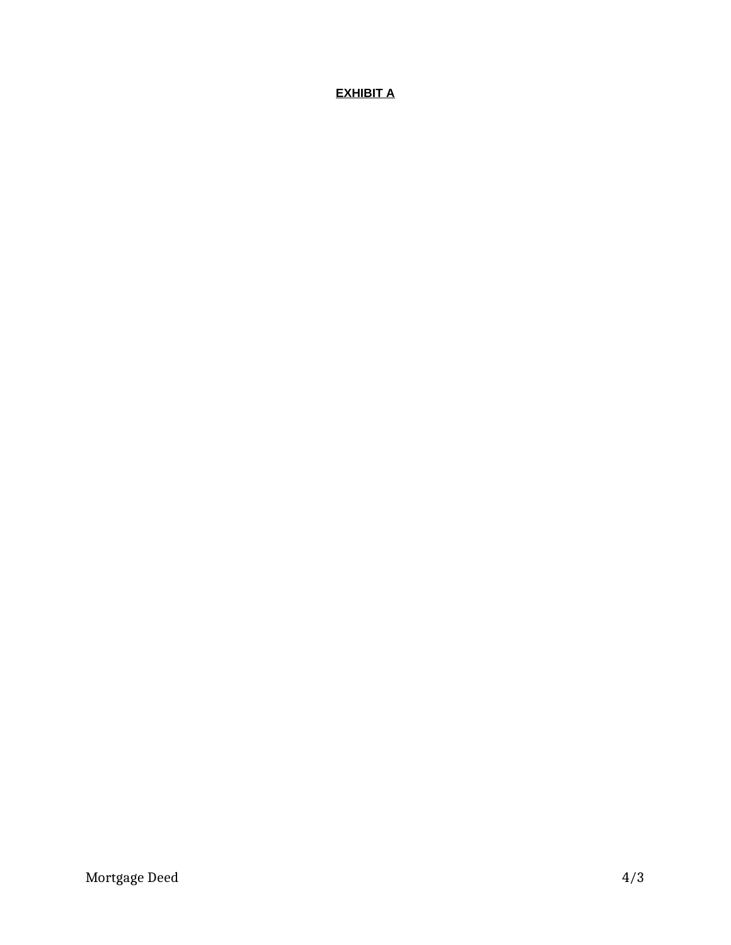## **EXHIBIT A**